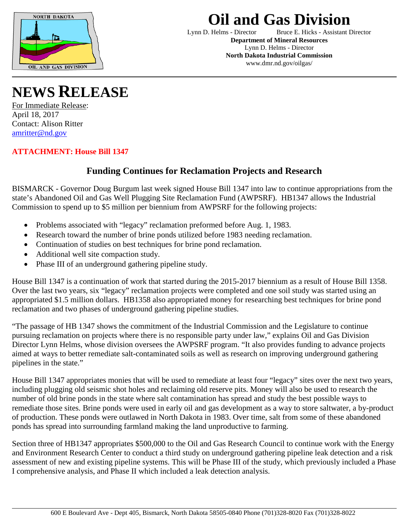

## **Oil and Gas Division**<br>Lynn D. Helms - Director Bruce E. Hicks - Assis

Bruce E. Hicks - Assistant Director **Department of Mineral Resources** Lynn D. Helms - Director **North Dakota Industrial Commission** www.dmr.nd.gov/oilgas/

**NEWS RELEASE**

For Immediate Release: April 18, 2017 Contact: Alison Ritter [amritter@nd.gov](mailto:amritter@nd.gov)

**ATTACHMENT: House Bill 1347**

## **Funding Continues for Reclamation Projects and Research**

BISMARCK - Governor Doug Burgum last week signed House Bill 1347 into law to continue appropriations from the state's Abandoned Oil and Gas Well Plugging Site Reclamation Fund (AWPSRF). HB1347 allows the Industrial Commission to spend up to \$5 million per biennium from AWPSRF for the following projects:

- Problems associated with "legacy" reclamation preformed before Aug. 1, 1983.
- Research toward the number of brine ponds utilized before 1983 needing reclamation.
- Continuation of studies on best techniques for brine pond reclamation.
- Additional well site compaction study.
- Phase III of an underground gathering pipeline study.

House Bill 1347 is a continuation of work that started during the 2015-2017 biennium as a result of House Bill 1358. Over the last two years, six "legacy" reclamation projects were completed and one soil study was started using an appropriated \$1.5 million dollars. HB1358 also appropriated money for researching best techniques for brine pond reclamation and two phases of underground gathering pipeline studies.

"The passage of HB 1347 shows the commitment of the Industrial Commission and the Legislature to continue pursuing reclamation on projects where there is no responsible party under law," explains Oil and Gas Division Director Lynn Helms, whose division oversees the AWPSRF program. "It also provides funding to advance projects aimed at ways to better remediate salt-contaminated soils as well as research on improving underground gathering pipelines in the state."

House Bill 1347 appropriates monies that will be used to remediate at least four "legacy" sites over the next two years, including plugging old seismic shot holes and reclaiming old reserve pits. Money will also be used to research the number of old brine ponds in the state where salt contamination has spread and study the best possible ways to remediate those sites. Brine ponds were used in early oil and gas development as a way to store saltwater, a by-product of production. These ponds were outlawed in North Dakota in 1983. Over time, salt from some of these abandoned ponds has spread into surrounding farmland making the land unproductive to farming.

Section three of HB1347 appropriates \$500,000 to the Oil and Gas Research Council to continue work with the Energy and Environment Research Center to conduct a third study on underground gathering pipeline leak detection and a risk assessment of new and existing pipeline systems. This will be Phase III of the study, which previously included a Phase I comprehensive analysis, and Phase II which included a leak detection analysis.